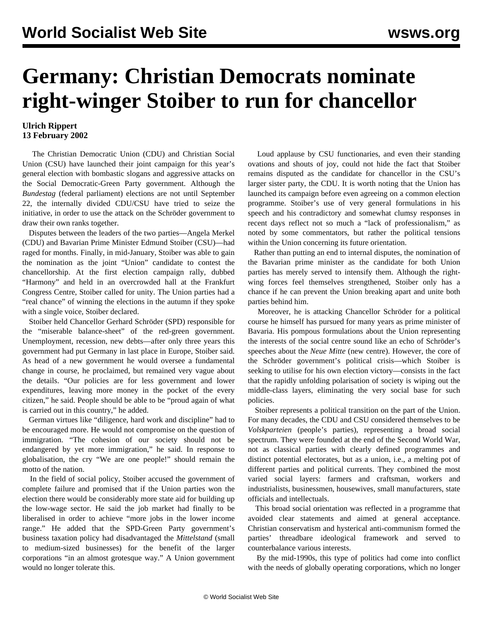## **Germany: Christian Democrats nominate right-winger Stoiber to run for chancellor**

## **Ulrich Rippert 13 February 2002**

 The Christian Democratic Union (CDU) and Christian Social Union (CSU) have launched their joint campaign for this year's general election with bombastic slogans and aggressive attacks on the Social Democratic-Green Party government. Although the *Bundestag* (federal parliament) elections are not until September 22, the internally divided CDU/CSU have tried to seize the initiative, in order to use the attack on the Schröder government to draw their own ranks together.

 Disputes between the leaders of the two parties—Angela Merkel (CDU) and Bavarian Prime Minister Edmund Stoiber (CSU)—had raged for months. Finally, in mid-January, Stoiber was able to gain the nomination as the joint "Union" candidate to contest the chancellorship. At the first election campaign rally, dubbed "Harmony" and held in an overcrowded hall at the Frankfurt Congress Centre, Stoiber called for unity. The Union parties had a "real chance" of winning the elections in the autumn if they spoke with a single voice, Stoiber declared.

 Stoiber held Chancellor Gerhard Schröder (SPD) responsible for the "miserable balance-sheet" of the red-green government. Unemployment, recession, new debts—after only three years this government had put Germany in last place in Europe, Stoiber said. As head of a new government he would oversee a fundamental change in course, he proclaimed, but remained very vague about the details. "Our policies are for less government and lower expenditures, leaving more money in the pocket of the every citizen," he said. People should be able to be "proud again of what is carried out in this country," he added.

 German virtues like "diligence, hard work and discipline" had to be encouraged more. He would not compromise on the question of immigration. "The cohesion of our society should not be endangered by yet more immigration," he said. In response to globalisation, the cry "We are one people!" should remain the motto of the nation.

 In the field of social policy, Stoiber accused the government of complete failure and promised that if the Union parties won the election there would be considerably more state aid for building up the low-wage sector. He said the job market had finally to be liberalised in order to achieve "more jobs in the lower income range." He added that the SPD-Green Party government's business taxation policy had disadvantaged the *Mittelstand* (small to medium-sized businesses) for the benefit of the larger corporations "in an almost grotesque way." A Union government would no longer tolerate this.

 Loud applause by CSU functionaries, and even their standing ovations and shouts of joy, could not hide the fact that Stoiber remains disputed as the candidate for chancellor in the CSU's larger sister party, the CDU. It is worth noting that the Union has launched its campaign before even agreeing on a common election programme. Stoiber's use of very general formulations in his speech and his contradictory and somewhat clumsy responses in recent days reflect not so much a "lack of professionalism," as noted by some commentators, but rather the political tensions within the Union concerning its future orientation.

 Rather than putting an end to internal disputes, the nomination of the Bavarian prime minister as the candidate for both Union parties has merely served to intensify them. Although the rightwing forces feel themselves strengthened, Stoiber only has a chance if he can prevent the Union breaking apart and unite both parties behind him.

 Moreover, he is attacking Chancellor Schröder for a political course he himself has pursued for many years as prime minister of Bavaria. His pompous formulations about the Union representing the interests of the social centre sound like an echo of Schröder's speeches about the *Neue Mitte* (new centre). However, the core of the Schröder government's political crisis—which Stoiber is seeking to utilise for his own election victory—consists in the fact that the rapidly unfolding polarisation of society is wiping out the middle-class layers, eliminating the very social base for such policies.

 Stoiber represents a political transition on the part of the Union. For many decades, the CDU and CSU considered themselves to be *Volskparteien* (people's parties), representing a broad social spectrum. They were founded at the end of the Second World War, not as classical parties with clearly defined programmes and distinct potential electorates, but as a union, i.e., a melting pot of different parties and political currents. They combined the most varied social layers: farmers and craftsman, workers and industrialists, businessmen, housewives, small manufacturers, state officials and intellectuals.

 This broad social orientation was reflected in a programme that avoided clear statements and aimed at general acceptance. Christian conservatism and hysterical anti-communism formed the parties' threadbare ideological framework and served to counterbalance various interests.

 By the mid-1990s, this type of politics had come into conflict with the needs of globally operating corporations, which no longer